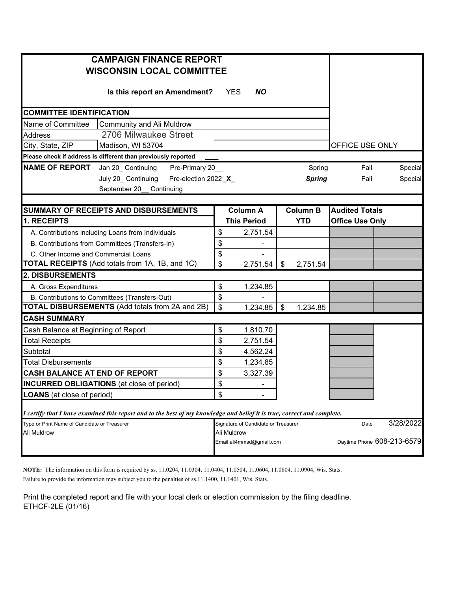| <b>CAMPAIGN FINANCE REPORT</b>                                                                                          |                         |                 |                        |         |  |  |
|-------------------------------------------------------------------------------------------------------------------------|-------------------------|-----------------|------------------------|---------|--|--|
| <b>WISCONSIN LOCAL COMMITTEE</b>                                                                                        |                         |                 |                        |         |  |  |
| Is this report an Amendment?                                                                                            | <b>YES</b><br><b>NO</b> |                 |                        |         |  |  |
| <b>COMMITTEE IDENTIFICATION</b>                                                                                         |                         |                 |                        |         |  |  |
| Name of Committee<br>Community and Ali Muldrow                                                                          |                         |                 |                        |         |  |  |
| 2706 Milwaukee Street<br><b>Address</b>                                                                                 |                         |                 |                        |         |  |  |
| City, State, ZIP<br>Madison, WI 53704                                                                                   |                         |                 | OFFICE USE ONLY        |         |  |  |
| Please check if address is different than previously reported                                                           |                         |                 |                        |         |  |  |
| <b>NAME OF REPORT</b><br>Jan 20_ Continuing<br>Pre-Primary 20_                                                          |                         | Spring          | Fall                   | Special |  |  |
| July 20_ Continuing<br>Pre-election 2022_X_                                                                             |                         | <b>Spring</b>   | Fall                   | Special |  |  |
| September 20_ Continuing                                                                                                |                         |                 |                        |         |  |  |
|                                                                                                                         |                         |                 |                        |         |  |  |
| SUMMARY OF RECEIPTS AND DISBURSEMENTS                                                                                   | <b>Column A</b>         | <b>Column B</b> | <b>Audited Totals</b>  |         |  |  |
| 1. RECEIPTS                                                                                                             | <b>This Period</b>      | <b>YTD</b>      | <b>Office Use Only</b> |         |  |  |
| A. Contributions including Loans from Individuals                                                                       | 2,751.54<br>\$          |                 |                        |         |  |  |
| B. Contributions from Committees (Transfers-In)                                                                         | \$                      |                 |                        |         |  |  |
| C. Other Income and Commercial Loans                                                                                    | \$                      |                 |                        |         |  |  |
| TOTAL RECEIPTS (Add totals from 1A, 1B, and 1C)                                                                         | \$<br>2,751.54          | 2,751.54<br>\$  |                        |         |  |  |
| 2. DISBURSEMENTS                                                                                                        |                         |                 |                        |         |  |  |
| A. Gross Expenditures                                                                                                   | \$<br>1,234.85          |                 |                        |         |  |  |
| B. Contributions to Committees (Transfers-Out)                                                                          | \$                      |                 |                        |         |  |  |
| <b>TOTAL DISBURSEMENTS</b> (Add totals from 2A and 2B)                                                                  | \$<br>$1,234.85$ \$     | 1,234.85        |                        |         |  |  |
| <b>CASH SUMMARY</b>                                                                                                     |                         |                 |                        |         |  |  |
| Cash Balance at Beginning of Report                                                                                     | \$<br>1,810.70          |                 |                        |         |  |  |
| <b>Total Receipts</b>                                                                                                   | \$<br>2,751.54          |                 |                        |         |  |  |
| Subtotal                                                                                                                | \$<br>4,562.24          |                 |                        |         |  |  |
| <b>Total Disbursements</b>                                                                                              | \$<br>1,234.85          |                 |                        |         |  |  |
| <b>CASH BALANCE AT END OF REPORT</b>                                                                                    | \$<br>3,327.39          |                 |                        |         |  |  |
| <b>INCURRED OBLIGATIONS</b> (at close of period)                                                                        | \$                      |                 |                        |         |  |  |
| <b>LOANS</b> (at close of period)                                                                                       | \$                      |                 |                        |         |  |  |
| I certify that I have examined this report and to the best of my knowledge and belief it is true, correct and complete. |                         |                 |                        |         |  |  |
| Type or Print Name of Candidate or Treasurer                                                                            | Date                    | 3/28/2022       |                        |         |  |  |
| Ali Muldrow<br>Ali Muldrow<br>Daytime Phone 608-213-6579<br>Email ali4mmsd@gmail.com                                    |                         |                 |                        |         |  |  |

**NOTE:** The information on this form is required by ss. 11.0204, 11.0304, 11.0404, 11.0504, 11.0604, 11.0804, 11.0904, Wis. Stats.

Failure to provide the information may subject you to the penalties of ss.11.1400, 11.1401, Wis. Stats.

Print the completed report and file with your local clerk or election commission by the filing deadline. ETHCF-2LE (01/16)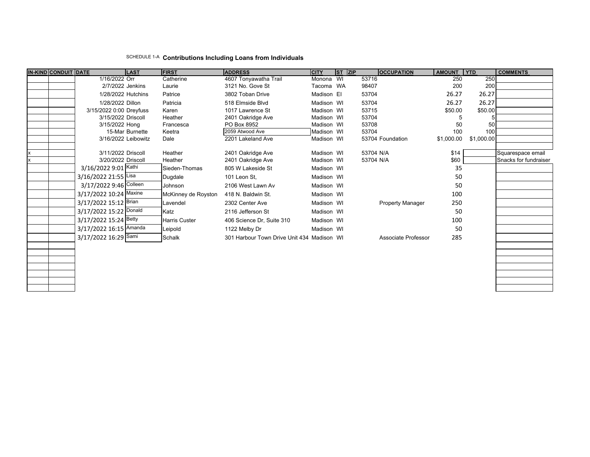## SCHEDULE 1-A **Contributions Including Loans from Individuals**

|   | IN-KIND CONDUIT DATE |                         | <b>LAST</b>     | <b>FIRST</b>         | <b>ADDRESS</b>                             | <b>CITY</b> | $ST$ $ZIP$ | <b>OCCUPATION</b>   | AMOUNT YTD   |            | <b>COMMENTS</b>                            |
|---|----------------------|-------------------------|-----------------|----------------------|--------------------------------------------|-------------|------------|---------------------|--------------|------------|--------------------------------------------|
|   |                      | 1/16/2022 Orr           |                 | Catherine            | 4607 Tonyawatha Trail                      | Monona WI   |            | 53716               | 250          | 250        |                                            |
|   |                      | 2/7/2022 Jenkins        |                 | Laurie               | 3121 No. Gove St                           | Tacoma WA   |            | 98407               | 200          | 200        |                                            |
|   |                      | 1/28/2022 Hutchins      |                 | Patrice              | 3802 Toban Drive                           | Madison El  |            | 53704               | 26.27        | 26.27      |                                            |
|   |                      | 1/28/2022 Dillon        |                 | Patricia             | 518 Elmside Blvd                           | Madison WI  |            | 53704               | 26.27        | 26.27      |                                            |
|   |                      | 3/15/2022 0:00 Dreyfuss |                 | Karen                | 1017 Lawrence St                           | Madison WI  |            | 53715               | \$50.00      | \$50.00    |                                            |
|   |                      | 3/15/2022 Driscoll      |                 | Heather              | 2401 Oakridge Ave                          | Madison WI  |            | 53704               |              |            |                                            |
|   |                      | 3/15/2022 Hong          |                 | Francesca            | PO Box 8952                                | Madison WI  |            | 53708               | 50           | 50         |                                            |
|   |                      |                         | 15-Mar Burnette | Keetra               | 2059 Atwood Ave                            | Madison WI  |            | 53704               | 100          | 100        |                                            |
|   |                      | 3/16/2022 Leibowitz     |                 | Dale                 | 2201 Lakeland Ave                          | Madison WI  |            | 53704 Foundation    | \$1,000.00   | \$1,000.00 |                                            |
|   |                      | 3/11/2022 Driscoll      |                 | Heather              |                                            | Madison WI  |            | 53704 N/A           |              |            |                                            |
| x |                      | 3/20/2022 Driscoll      |                 | Heather              | 2401 Oakridge Ave<br>2401 Oakridge Ave     | Madison WI  |            | 53704 N/A           | \$14<br>\$60 |            | Squarespace email<br>Snacks for fundraiser |
|   |                      | 3/16/2022 9:01 Kathi    |                 | Sieden-Thomas        | 805 W Lakeside St                          | Madison WI  |            |                     | 35           |            |                                            |
|   |                      |                         |                 |                      |                                            |             |            |                     |              |            |                                            |
|   |                      | 3/16/2022 21:55 Lisa    |                 | Dugdale              | 101 Leon St.                               | Madison WI  |            |                     | 50           |            |                                            |
|   |                      | 3/17/2022 9:46 Colleen  |                 | Johnson              | 2106 West Lawn Av                          | Madison WI  |            |                     | 50           |            |                                            |
|   |                      | 3/17/2022 10:24 Maxine  |                 | McKinney de Royston  | 418 N. Baldwin St.                         | Madison WI  |            |                     | 100          |            |                                            |
|   |                      | 3/17/2022 15:12 Brian   |                 | Lavendel             | 2302 Center Ave                            | Madison WI  |            | Property Manager    | 250          |            |                                            |
|   |                      | 3/17/2022 15:22 Donald  |                 | Katz                 | 2116 Jefferson St                          | Madison WI  |            |                     | 50           |            |                                            |
|   |                      | 3/17/2022 15:24 Betty   |                 | <b>Harris Custer</b> | 406 Science Dr, Suite 310                  | Madison WI  |            |                     | 100          |            |                                            |
|   |                      | 3/17/2022 16:15 Amanda  |                 | Leipold              | 1122 Melby Dr                              | Madison WI  |            |                     | 50           |            |                                            |
|   |                      | 3/17/2022 16:29 Sami    |                 | Schalk               | 301 Harbour Town Drive Unit 434 Madison WI |             |            | Associate Professor | 285          |            |                                            |
|   |                      |                         |                 |                      |                                            |             |            |                     |              |            |                                            |
|   |                      |                         |                 |                      |                                            |             |            |                     |              |            |                                            |
|   |                      |                         |                 |                      |                                            |             |            |                     |              |            |                                            |